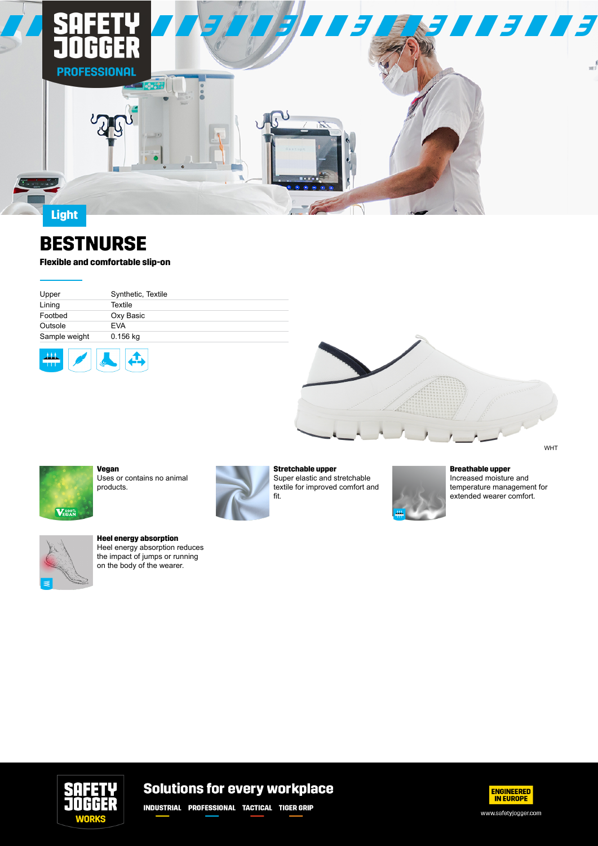

# **BESTNURSE**

### **Flexible and comfortable slip-on**

| Upper         | Synthetic, Textile |
|---------------|--------------------|
| Lining        | Textile            |
| Footbed       | Oxy Basic          |
| Outsole       | <b>EVA</b>         |
| Sample weight | 0.156 kg           |
|               |                    |







**Vegan** Uses or contains no animal products.



fit.

**Stretchable upper** Super elastic and stretchable textile for improved comfort and



#### **Breathable upper**

Increased moisture and temperature management for extended wearer comfort.



**Heel energy absorption**

Heel energy absorption reduces the impact of jumps or running on the body of the wearer.



## **Solutions for every workplace**

**INDUSTRIAL PROFESSIONAL TACTICAL TIGER GRIP**